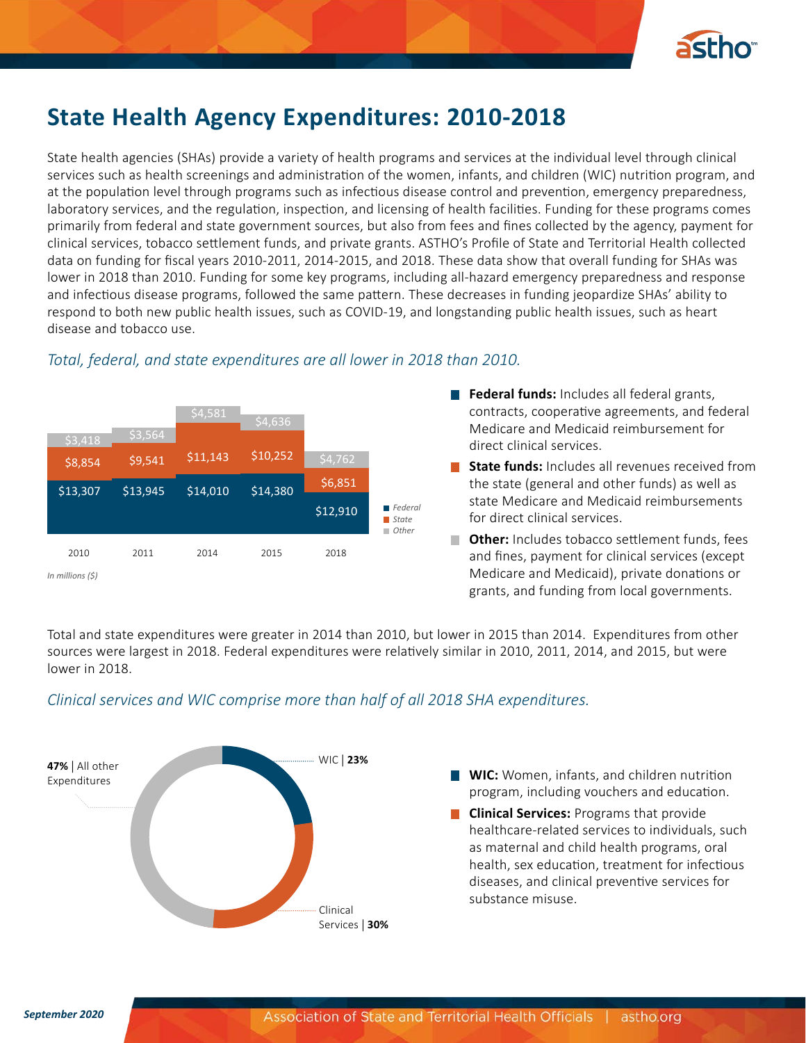

# **State Health Agency Expenditures: 2010-2018**

State health agencies (SHAs) provide a variety of health programs and services at the individual level through clinical services such as health screenings and administration of the women, infants, and children (WIC) nutrition program, and at the population level through programs such as infectious disease control and prevention, emergency preparedness, laboratory services, and the regulation, inspection, and licensing of health facilities. Funding for these programs comes primarily from federal and state government sources, but also from fees and fines collected by the agency, payment for clinical services, tobacco settlement funds, and private grants. ASTHO's Profile of State and Territorial Health collected data on funding for fiscal years 2010-2011, 2014-2015, and 2018. These data show that overall funding for SHAs was lower in 2018 than 2010. Funding for some key programs, including all-hazard emergency preparedness and response and infectious disease programs, followed the same pattern. These decreases in funding jeopardize SHAs' ability to respond to both new public health issues, such as COVID-19, and longstanding public health issues, such as heart disease and tobacco use.



## *Total, federal, and state expenditures are all lower in 2018 than 2010.*

**Federal funds:** Includes all federal grants, contracts, cooperative agreements, and federal Medicare and Medicaid reimbursement for direct clinical services.

**State funds:** Includes all revenues received from the state (general and other funds) as well as state Medicare and Medicaid reimbursements for direct clinical services.

**Other:** Includes tobacco settlement funds, fees and fines, payment for clinical services (except Medicare and Medicaid), private donations or grants, and funding from local governments.

Total and state expenditures were greater in 2014 than 2010, but lower in 2015 than 2014. Expenditures from other sources were largest in 2018. Federal expenditures were relatively similar in 2010, 2011, 2014, and 2015, but were lower in 2018.

# *Clinical services and WIC comprise more than half of all 2018 SHA expenditures.*



- **WIC:** Women, infants, and children nutrition program, including vouchers and education.
- **Clinical Services:** Programs that provide healthcare-related services to individuals, such as maternal and child health programs, oral health, sex education, treatment for infectious diseases, and clinical preventive services for substance misuse.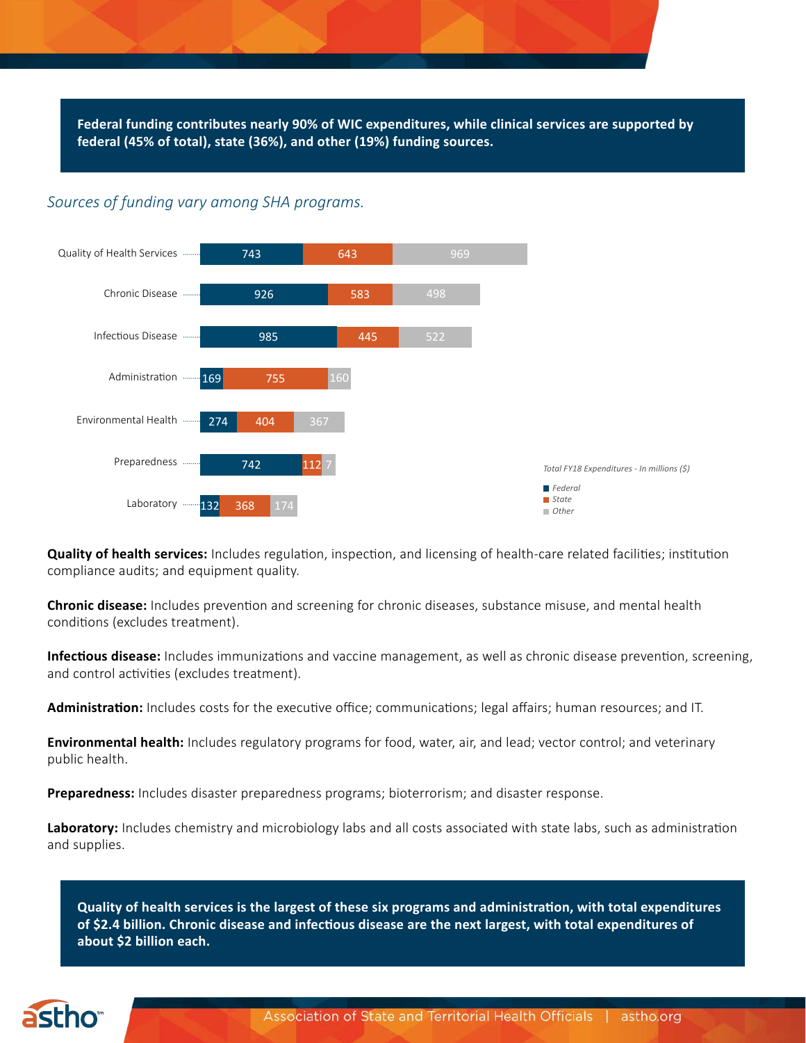**Federal funding contributes nearly 90% of WIC expenditures, while clinical services are supported by federal (45% of total), state (36%), and other (19%) funding sources.**

#### *Sources of funding vary among SHA programs.*



**Quality of health services:** Includes regulation, inspection, and licensing of health-care related facilities; institution compliance audits; and equipment quality.

**Chronic disease:** Includes prevention and screening for chronic diseases, substance misuse, and mental health conditions (excludes treatment).

**Infectious disease:** Includes immunizations and vaccine management, as well as chronic disease prevention, screening, and control activities (excludes treatment).

**Administration:** Includes costs for the executive office; communications; legal affairs; human resources; and IT.

**Environmental health:** Includes regulatory programs for food, water, air, and lead; vector control; and veterinary public health.

**Preparedness:** Includes disaster preparedness programs; bioterrorism; and disaster response.

**Laboratory:** Includes chemistry and microbiology labs and all costs associated with state labs, such as administration and supplies.

**Quality of health services is the largest of these six programs and administration, with total expenditures of \$2.4 billion. Chronic disease and infectious disease are the next largest, with total expenditures of about \$2 billion each.** 

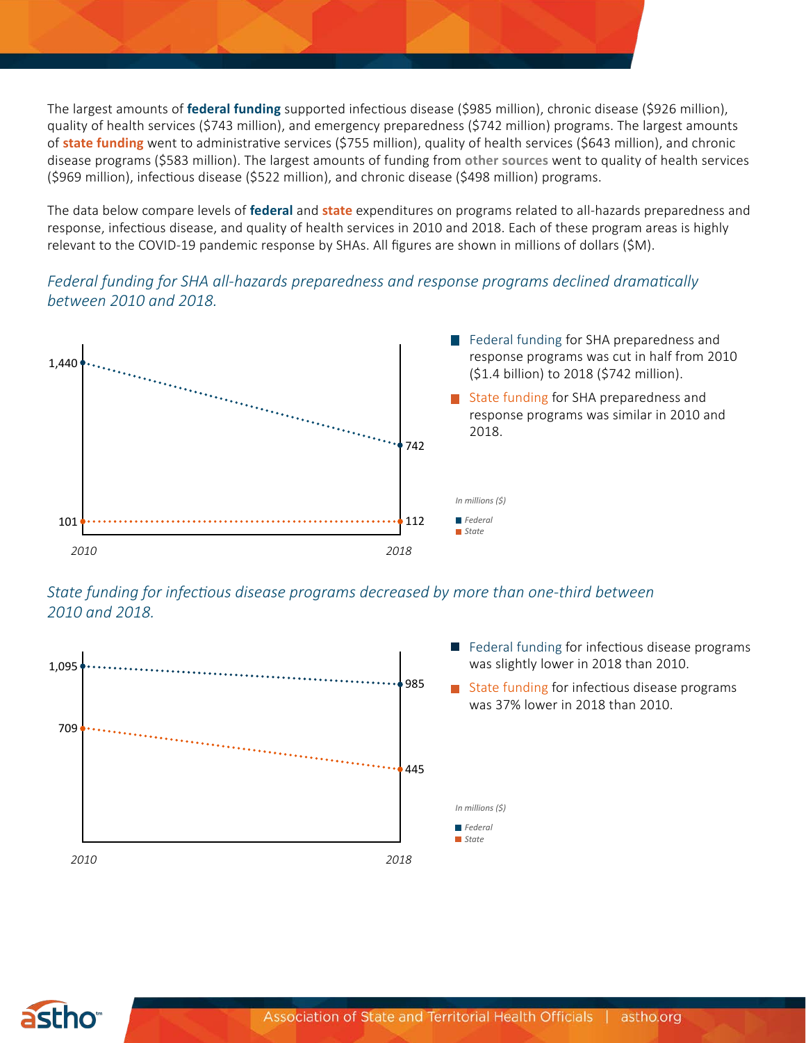The largest amounts of **federal funding** supported infectious disease (\$985 million), chronic disease (\$926 million), quality of health services (\$743 million), and emergency preparedness (\$742 million) programs. The largest amounts of **state funding** went to administrative services (\$755 million), quality of health services (\$643 million), and chronic disease programs (\$583 million). The largest amounts of funding from **other sources** went to quality of health services (\$969 million), infectious disease (\$522 million), and chronic disease (\$498 million) programs.

The data below compare levels of **federal** and **state** expenditures on programs related to all-hazards preparedness and response, infectious disease, and quality of health services in 2010 and 2018. Each of these program areas is highly relevant to the COVID-19 pandemic response by SHAs. All figures are shown in millions of dollars (\$M).

## *Federal funding for SHA all-hazards preparedness and response programs declined dramatically between 2010 and 2018.*



*State funding for infectious disease programs decreased by more than one-third between 2010 and 2018.*